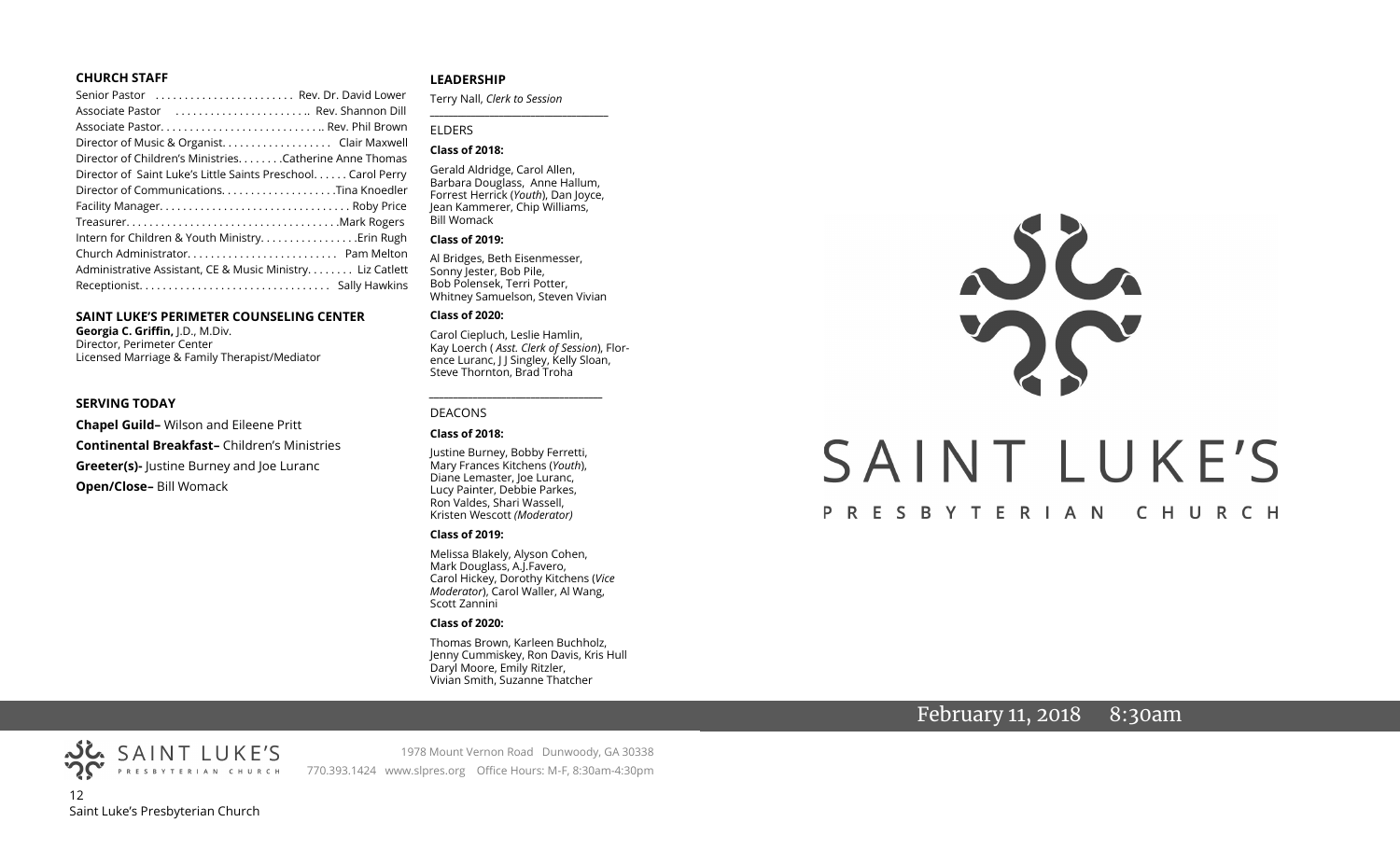#### **CHURCH STAFF**

| Senior Pastor  Rev. Dr. David Lower                          |  |
|--------------------------------------------------------------|--|
| Associate Pastor  Rev. Shannon Dill                          |  |
|                                                              |  |
| Director of Music & Organist. Clair Maxwell                  |  |
| Director of Children's Ministries. Catherine Anne Thomas     |  |
| Director of Saint Luke's Little Saints Preschool Carol Perry |  |
|                                                              |  |
|                                                              |  |
|                                                              |  |
|                                                              |  |
|                                                              |  |
| Administrative Assistant, CE & Music Ministry Liz Catlett    |  |
|                                                              |  |
|                                                              |  |

#### **SAINT LUKE'S PERIMETER COUNSELING CENTER**

**Georgia C. Griffin,** J.D., M.Div. Director, Perimeter Center Licensed Marriage & Family Therapist/Mediator

#### **SERVING TODAY**

**Chapel Guild–** Wilson and Eileene Pritt **Continental Breakfast–** Children's Ministries **Greeter(s)-** Justine Burney and Joe Luranc **Open/Close–** Bill Womack

### **LEADERSHIP**

Terry Nall, *Clerk to Session* 

**\_\_\_\_\_\_\_\_\_\_\_\_\_\_\_\_\_\_\_\_\_\_\_\_\_\_\_\_\_\_\_\_\_\_\_\_\_\_\_**

#### ELDERS

#### **Class of 2018:**

Gerald Aldridge, Carol Allen, Barbara Douglass, Anne Hallum, Forrest Herrick (*Youth*), Dan Joyce, Jean Kammerer, Chip Williams, Bill Womack

#### **Class of 2019:**

Al Bridges, Beth Eisenmesser, Sonny Jester, Bob Pile, Bob Polensek, Terri Potter, Whitney Samuelson, Steven Vivian

#### **Class of 2020:**

Carol Ciepluch, Leslie Hamlin, Kay Loerch ( *Asst. Clerk of Session*), Florence Luranc, J J Singley, Kelly Sloan, Steve Thornton, Brad Troha

*\_\_\_\_\_\_\_\_\_\_\_\_\_\_\_\_\_\_\_\_\_\_\_\_\_\_\_\_\_\_\_\_\_\_\_\_*

#### DEACONS

#### **Class of 2018:**

Justine Burney, Bobby Ferretti, Mary Frances Kitchens (*Youth*), Diane Lemaster, Joe Luranc, Lucy Painter, Debbie Parkes, Ron Valdes, Shari Wassell, Kristen Wescott *(Moderator)*

#### **Class of 2019:**

Melissa Blakely, Alyson Cohen, Mark Douglass, A.J.Favero, Carol Hickey, Dorothy Kitchens (*Vice Moderator*), Carol Waller, Al Wang, Scott Zannini

#### **Class of 2020:**

Thomas Brown, Karleen Buchholz, Jenny Cummiskey, Ron Davis, Kris Hull Daryl Moore, Emily Ritzler, Vivian Smith, Suzanne Thatcher

# SAINT LUKE'S PRESBYTERIAN CHURCH

# February 11, 2018 8:30am

PRESBYTERIAN CHURCH 12 Saint Luke's Presbyterian Church

SAINT LUKE'S

1978 Mount Vernon Road Dunwoody, GA 30338 770.393.1424 www.slpres.org Office Hours: M-F, 8:30am-4:30pm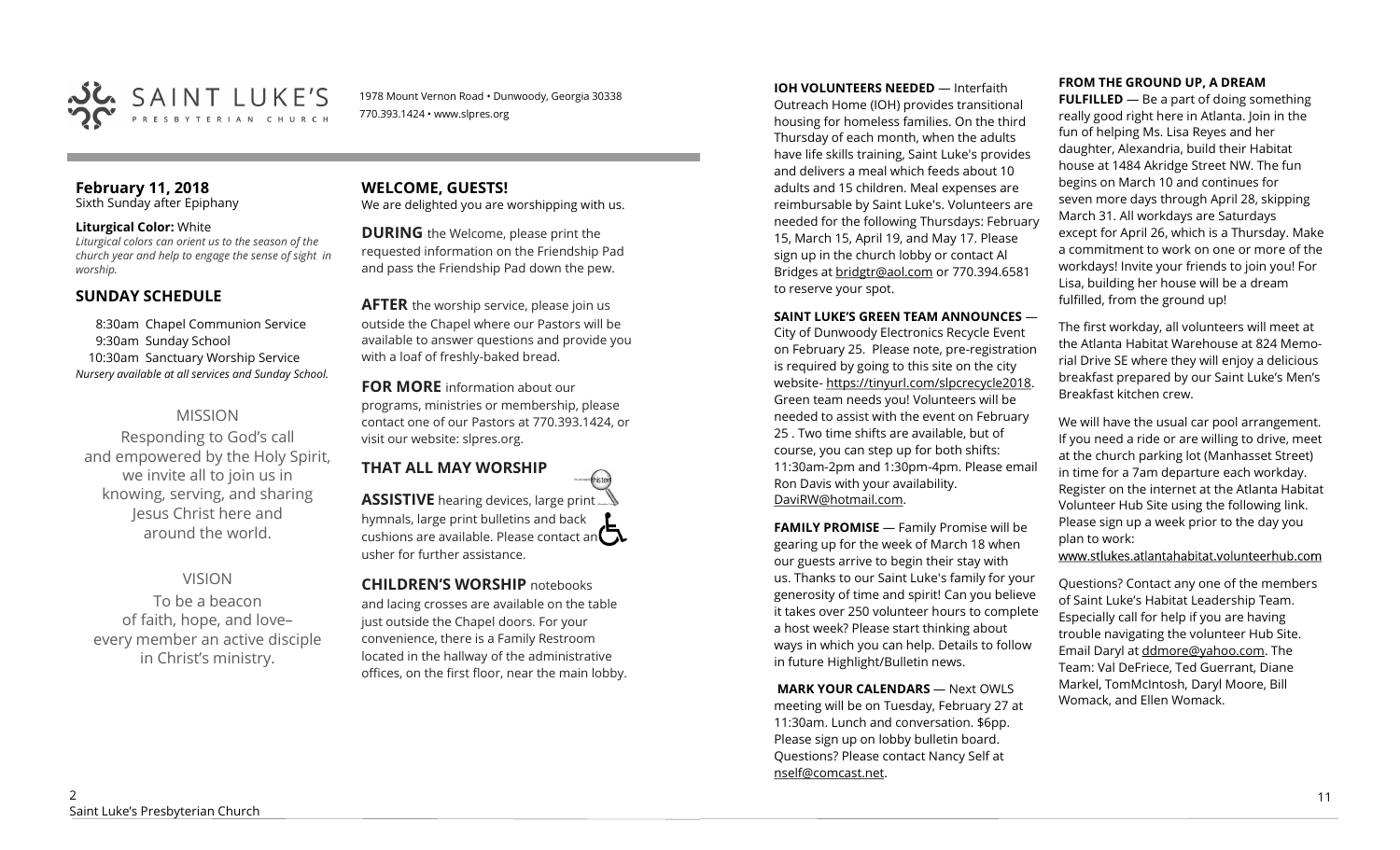

1978 Mount Vernon Road • Dunwoody, Georgia 30338 770.393.1424 • www.slpres.org

# **February 11, 2018**

Sixth Sunday after Epiphany

# **Liturgical Color:** White

*Liturgical colors can orient us to the season of the church year and help to engage the sense of sight in worship.* 

# **SUNDAY SCHEDULE**

8:30am Chapel Communion Service 9:30am Sunday School 10:30am Sanctuary Worship Service *Nursery available at all services and Sunday School.* 

# MISSION

Responding to God's call and empowered by the Holy Spirit, we invite all to join us in knowing, serving, and sharing Jesus Christ here and around the world.

# VISION

To be a beacon of faith, hope, and love– every member an active disciple in Christ's ministry.

# **WELCOME, GUESTS!**  We are delighted you are worshipping with us.

**DURING** the Welcome, please print the requested information on the Friendship Pad and pass the Friendship Pad down the pew.

**AFTER** the worship service, please join us outside the Chapel where our Pastors will be available to answer questions and provide you with a loaf of freshly-baked bread.

**FOR MORE** information about our programs, ministries or membership, please contact one of our Pastors at 770.393.1424, or visit our website: slpres.org.

# **THAT ALL MAY WORSHIP**

**ASSISTIVE** hearing devices, large print... hymnals, large print bulletins and back cushions are available. Please contact an  $\Box$ usher for further assistance.

thisted

**CHILDREN'S WORSHIP** notebooks and lacing crosses are available on the table just outside the Chapel doors. For your convenience, there is a Family Restroom located in the hallway of the administrative offices, on the first floor, near the main lobby.

# **IOH VOLUNTEERS NEEDED** — Interfaith

Outreach Home (IOH) provides transitional housing for homeless families. On the third Thursday of each month, when the adults have life skills training, Saint Luke's provides and delivers a meal which feeds about 10 adults and 15 children. Meal expenses are reimbursable by Saint Luke's. Volunteers are needed for the following Thursdays: February 15, March 15, April 19, and May 17. Please sign up in the church lobby or contact Al Bridges at [bridgtr@aol.com](mailto:bridgtr@aol.com) or 770.394.6581 to reserve your spot.

# **SAINT LUKE'S GREEN TEAM ANNOUNCES** —

City of Dunwoody Electronics Recycle Event on February 25. Please note, pre-registration is required by going to this site on the city website- https://tinyurl.com/slpcrecycle2018. Green team needs you! Volunteers will be needed to assist with the event on February 25 . Two time shifts are available, but of course, you can step up for both shifts: 11:30am-2pm and 1:30pm-4pm. Please email Ron Davis with your availability. DaviRW@hotmail.com.

**FAMILY PROMISE** - Family Promise will be gearing up for the week of March 18 when our guests arrive to begin their stay with us. Thanks to our Saint Luke's family for your generosity of time and spirit! Can you believe it takes over 250 volunteer hours to complete a host week? Please start thinking about ways in which you can help. Details to follow in future Highlight/Bulletin news.

**MARK YOUR CALENDARS** — Next OWLS meeting will be on Tuesday, February 27 at 11:30am. Lunch and conversation. \$6pp. Please sign up on lobby bulletin board. Questions? Please contact Nancy Self at nself@comcast.net.

# **FROM THE GROUND UP, A DREAM**

**FULFILLED** — Be a part of doing something really good right here in Atlanta. Join in the fun of helping Ms. Lisa Reyes and her daughter, Alexandria, build their Habitat house at 1484 Akridge Street NW. The fun begins on March 10 and continues for seven more days through April 28, skipping March 31. All workdays are Saturdays except for April 26, which is a Thursday. Make a commitment to work on one or more of the workdays! Invite your friends to join you! For Lisa, building her house will be a dream fulfilled, from the ground up!

The first workday, all volunteers will meet at the Atlanta Habitat Warehouse at 824 Memorial Drive SE where they will enjoy a delicious breakfast prepared by our Saint Luke's Men's Breakfast kitchen crew.

We will have the usual car pool arrangement. If you need a ride or are willing to drive, meet at the church parking lot (Manhasset Street) in time for a 7am departure each workday. Register on the internet at the Atlanta Habitat Volunteer Hub Site using the following link. Please sign up a week prior to the day you plan to work:

www.stlukes.atlantahabitat.volunteerhub.com

Questions? Contact any one of the members of Saint Luke's Habitat Leadership Team. Especially call for help if you are having trouble navigating the volunteer Hub Site. Email Daryl at ddmore@yahoo.com. The Team: Val DeFriece, Ted Guerrant, Diane Markel, TomMcIntosh, Daryl Moore, Bill Womack, and Ellen Womack.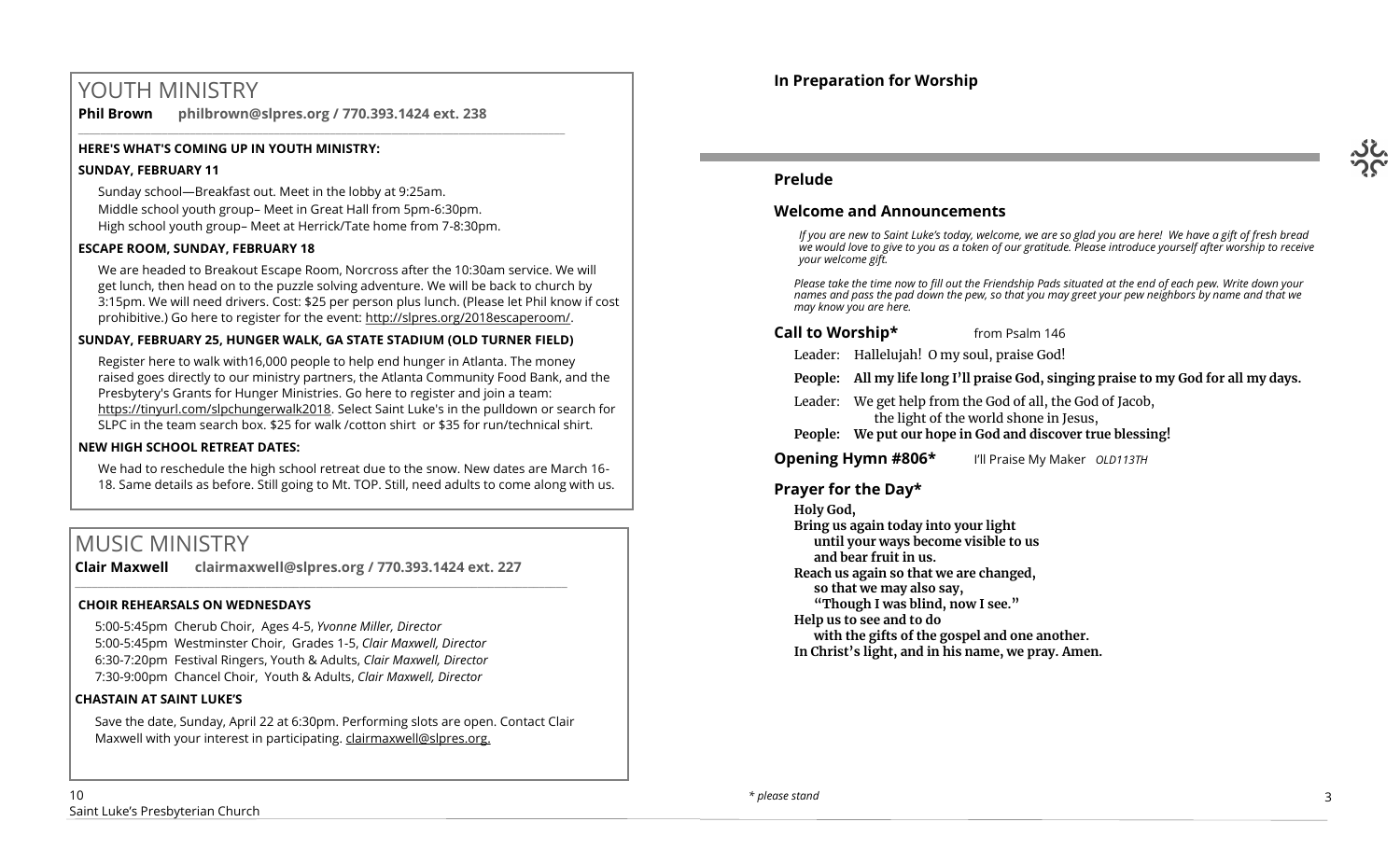# YOUTH MINISTRY

**Phil Brown philbrown@slpres.org / 770.393.1424 ext. 238** 

# **HERE'S WHAT'S COMING UP IN YOUTH MINISTRY:**

# **SUNDAY, FEBRUARY 11**

Sunday school—Breakfast out. Meet in the lobby at 9:25am. Middle school youth group– Meet in Great Hall from 5pm-6:30pm. High school youth group– Meet at Herrick/Tate home from 7-8:30pm.

\_\_\_\_\_\_\_\_\_\_\_\_\_\_\_\_\_\_\_\_\_\_\_\_\_\_\_\_\_\_\_\_\_\_\_\_\_\_\_\_\_\_\_\_\_\_\_\_\_\_\_\_\_\_\_\_\_\_\_\_\_\_\_\_\_\_\_\_\_\_\_\_\_\_\_\_\_\_\_\_\_\_\_\_\_\_\_

# **ESCAPE ROOM, SUNDAY, FEBRUARY 18**

We are headed to Breakout Escape Room, Norcross after the 10:30am service. We will get lunch, then head on to the puzzle solving adventure. We will be back to church by 3:15pm. We will need drivers. Cost: \$25 per person plus lunch. (Please let Phil know if cost prohibitive.) Go here to register for the event: http://slpres.org/2018escaperoom/.

# **SUNDAY, FEBRUARY 25, HUNGER WALK, GA STATE STADIUM (OLD TURNER FIELD)**

Register here to walk with16,000 people to help end hunger in Atlanta. The money raised goes directly to our ministry partners, the Atlanta Community Food Bank, and the Presbytery's Grants for Hunger Ministries. Go here to register and join a team: https://tinyurl.com/slpchungerwalk2018. Select Saint Luke's in the pulldown or search for SLPC in the team search box. \$25 for walk /cotton shirt or \$35 for run/technical shirt.

# **NEW HIGH SCHOOL RETREAT DATES:**

We had to reschedule the high school retreat due to the snow. New dates are March 16- 18. Same details as before. Still going to Mt. TOP. Still, need adults to come along with us.

# MUSIC MINISTRY

**Clair Maxwell clairmaxwell@slpres.org / 770.393.1424 ext. 227** 

\_\_\_\_\_\_\_\_\_\_\_\_\_\_\_\_\_\_\_\_\_\_\_\_\_\_\_\_\_\_\_\_\_\_\_\_\_\_\_\_\_\_\_\_\_\_\_\_\_\_\_\_\_\_\_\_\_\_\_\_\_\_\_\_\_\_\_\_\_\_\_\_\_\_\_\_\_\_\_\_\_\_\_\_\_\_\_\_

# **CHOIR REHEARSALS ON WEDNESDAYS**

5:00-5:45pm Cherub Choir, Ages 4-5, *Yvonne Miller, Director*  5:00-5:45pm Westminster Choir, Grades 1-5, *Clair Maxwell, Director*  6:30-7:20pm Festival Ringers, Youth & Adults, *Clair Maxwell, Director*  7:30-9:00pm Chancel Choir, Youth & Adults, *Clair Maxwell, Director* 

# **CHASTAIN AT SAINT LUKE'S**

Save the date, Sunday, April 22 at 6:30pm. Performing slots are open. Contact Clair Maxwell with your interest in participating. clairmaxwell@slpres.org.



# **Prelude**

# **Welcome and Announcements**

*If you are new to Saint Luke's today, welcome, we are so glad you are here! We have a gift of fresh bread we would love to give to you as a token of our gratitude. Please introduce yourself after worship to receive your welcome gift.*

*Please take the time now to fill out the Friendship Pads situated at the end of each pew. Write down your names and pass the pad down the pew, so that you may greet your pew neighbors by name and that we may know you are here.*

# **Call to Worship\*** from Psalm 146

Leader: Hallelujah! O my soul, praise God!

**People: All my life long I'll praise God, singing praise to my God for all my days.**

- Leader: We get help from the God of all, the God of Jacob, the light of the world shone in Jesus,
- **People: We put our hope in God and discover true blessing!**

**Opening Hymn #806\*** I'll Praise My Maker *OLD113TH*

# **Prayer for the Day\***

**Holy God, Bring us again today into your light until your ways become visible to us and bear fruit in us. Reach us again so that we are changed, so that we may also say, "Though I was blind, now I see." Help us to see and to do with the gifts of the gospel and one another. In Christ's light, and in his name, we pray. Amen.**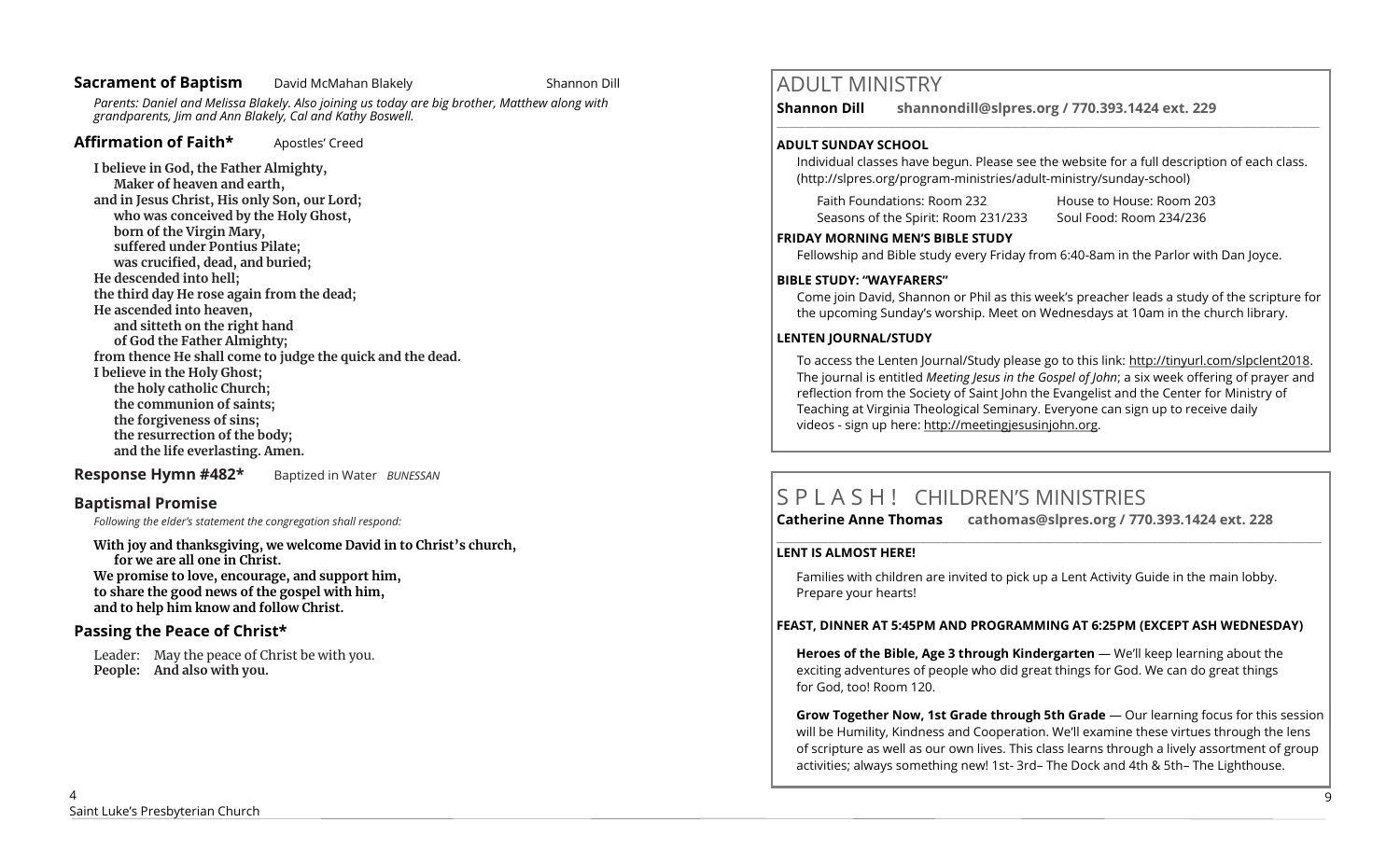# **Sacrament of Baptism** David McMahan Blakely **Constant Shannon Dill**

*Parents: Daniel and Melissa Blakely. Also joining us today are big brother, Matthew along with grandparents, Jim and Ann Blakely, Cal and Kathy Boswell.* 

# Affirmation of Faith\* **Apostles'** Creed

**I believe in God, the Father Almighty, Maker of heaven and earth, and in Jesus Christ, His only Son, our Lord; who was conceived by the Holy Ghost, born of the Virgin Mary, suffered under Pontius Pilate; was crucified, dead, and buried; He descended into hell; the third day He rose again from the dead; He ascended into heaven, and sitteth on the right hand of God the Father Almighty; from thence He shall come to judge the quick and the dead. I believe in the Holy Ghost; the holy catholic Church; the communion of saints; the forgiveness of sins; the resurrection of the body; and the life everlasting. Amen.**

**Response Hymn #482\*** Baptized in Water *BUNESSAN*

# **Baptismal Promise**

*Following the elder's statement the congregation shall respond:*

**With joy and thanksgiving, we welcome David in to Christ's church, for we are all one in Christ. We promise to love, encourage, and support him, to share the good news of the gospel with him, and to help him know and follow Christ.**

# **Passing the Peace of Christ\***

Leader: May the peace of Christ be with you. **People: And also with you.** 

# ADULT MINISTRY

**Shannon Dill shannondill@slpres.org / 770.393.1424 ext. 229**   $\_$  ,  $\_$  ,  $\_$  ,  $\_$  ,  $\_$  ,  $\_$  ,  $\_$  ,  $\_$  ,  $\_$  ,  $\_$  ,  $\_$  ,  $\_$  ,  $\_$  ,  $\_$  ,  $\_$  ,  $\_$  ,  $\_$  ,  $\_$  ,  $\_$ 

# **ADULT SUNDAY SCHOOL**

Individual classes have begun. Please see the website for a full description of each class. (http://slpres.org/program-ministries/adult-ministry/sunday-school)

Faith Foundations: Room 232 House to House: Room 203 Seasons of the Spirit: Room 231/233 Soul Food: Room 234/236

### **FRIDAY MORNING MEN'S BIBLE STUDY**

Fellowship and Bible study every Friday from 6:40-8am in the Parlor with Dan Joyce.

# **BIBLE STUDY: "WAYFARERS"**

Come join David, Shannon or Phil as this week's preacher leads a study of the scripture for the upcoming Sunday's worship. Meet on Wednesdays at 10am in the church library.

# **LENTEN JOURNAL/STUDY**

To access the Lenten Journal/Study please go to this link: http://tinyurl.com/slpclent2018. The journal is entitled *Meeting Jesus in the Gospel of John*; a six week offering of prayer and reflection from the Society of Saint John the Evangelist and the Center for Ministry of Teaching at Virginia Theological Seminary. Everyone can sign up to receive daily videos - sign up here: [http://meetingjesusinjohn.org.](http://meetingjesusinjohn.org/)

# S P L A S H ! CHILDREN'S MINISTRIES

**Catherine Anne Thomas cathomas@slpres.org / 770.393.1424 ext. 228** 

# **LENT IS ALMOST HERE!**

Families with children are invited to pick up a Lent Activity Guide in the main lobby. Prepare your hearts!

**\_\_\_\_\_\_\_\_\_\_\_\_\_\_\_\_\_\_\_\_\_\_\_\_\_\_\_\_\_\_\_\_\_\_\_\_\_\_\_\_\_\_\_\_\_\_\_\_\_\_\_\_\_\_\_\_\_\_\_\_\_\_\_\_\_\_\_\_\_\_\_\_\_\_\_\_\_\_\_\_\_\_\_\_\_\_\_\_\_\_\_\_\_\_\_\_\_\_\_\_\_\_\_\_\_\_** 

# **FEAST, DINNER AT 5:45PM AND PROGRAMMING AT 6:25PM (EXCEPT ASH WEDNESDAY)**

**Heroes of the Bible, Age 3 through Kindergarten** — We'll keep learning about the exciting adventures of people who did great things for God. We can do great things for God, too! Room 120.

**Grow Together Now, 1st Grade through 5th Grade** — Our learning focus for this session will be Humility, Kindness and Cooperation. We'll examine these virtues through the lens of scripture as well as our own lives. This class learns through a lively assortment of group activities; always something new! 1st- 3rd– The Dock and 4th & 5th– The Lighthouse.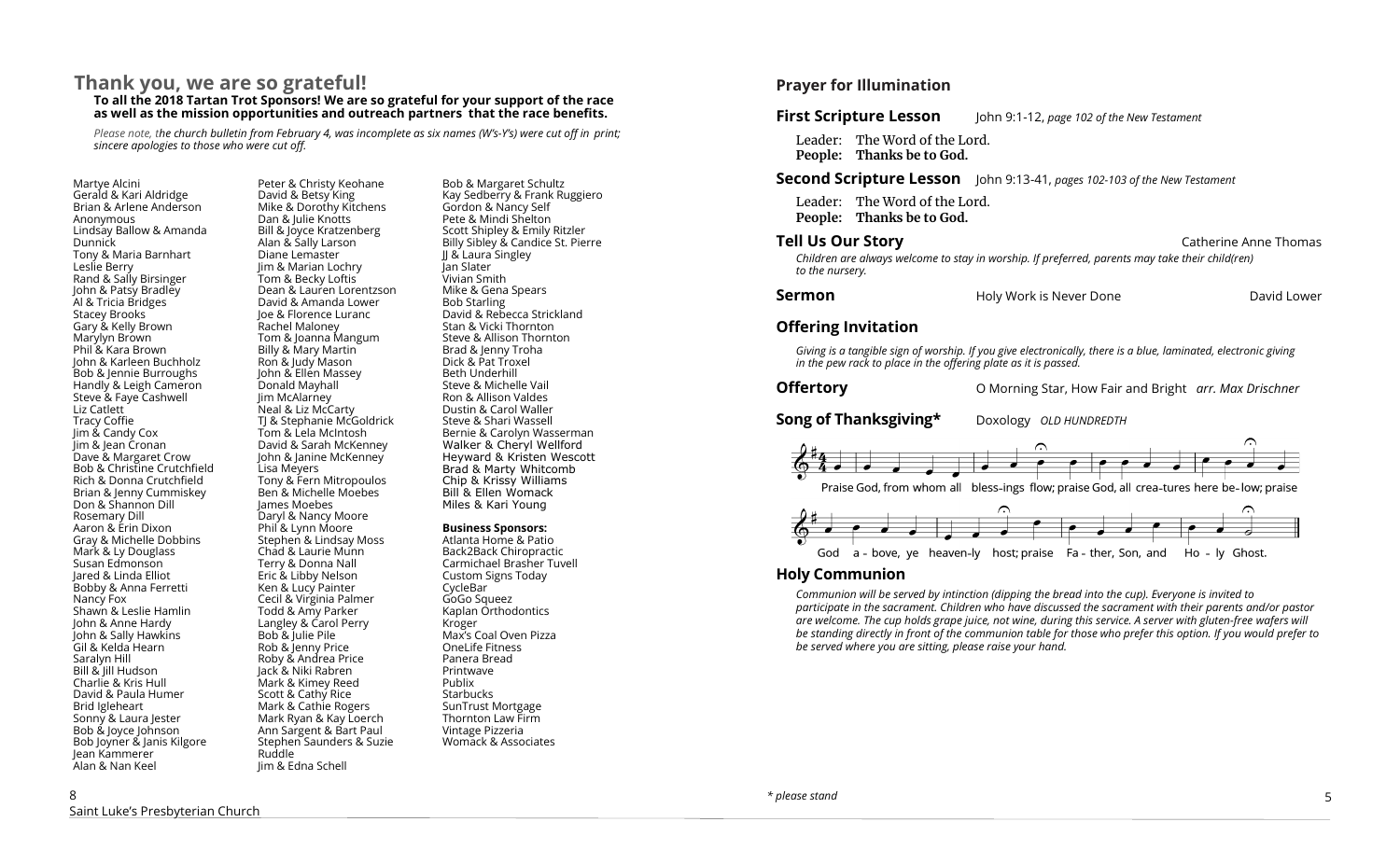# **Thank you, we are so grateful! To all the 2018 Tartan Trot Sponsors! We are so grateful for your support of the race as well as the mission opportunities and outreach partners that the race benefits.**

*Please note, the church bulletin from February 4, was incomplete as six names (W's-Y's) were cut off in print; sincere apologies to those who were cut off.*

Martye Alcini Gerald & Kari Aldridge Brian & Arlene Anderson Anonymous Lindsay Ballow & Amanda **Dunnick** Tony & Maria Barnhart Leslie Berry Rand & Sally Birsinger John & Patsy Bradley Al & Tricia Bridges Stacey Brooks Gary & Kelly Brown Marylyn Brown Phil & Kara Brown John & Karleen Buchholz Bob & Jennie Burroughs Handly & Leigh Cameron Steve & Faye Cashwell Liz Catlett Tracy Coffie Jim & Candy Cox Jim & Jean Cronan Dave & Margaret Crow Bob & Christine Crutchfield Rich & Donna Crutchfield Brian & Jenny Cummiskey Don & Shannon Dill Rosemary Dill Aaron & Erin Dixon Gray & Michelle Dobbins Mark & Ly Douglass Susan Edmonson Jared & Linda Elliot Bobby & Anna Ferretti Nancy Fox Shawn & Leslie Hamlin John & Anne Hardy John & Sally Hawkins Gil & Kelda Hearn Saralyn Hill Bill & Jill Hudson Charlie & Kris Hull David & Paula Humer Brid Igleheart Sonny & Laura Jester Bob & Joyce Johnson Bob Joyner & Janis Kilgore Jean Kammerer Alan & Nan Keel

Peter & Christy Keohane David & Betsy King Mike & Dorothy Kitchens Dan & Julie Knotts Bill & Joyce Kratzenberg Alan & Sally Larson Diane Lemaster Jim & Marian Lochry Tom & Becky Loftis Dean & Lauren Lorentzson David & Amanda Lower Joe & Florence Luranc Rachel Maloney Tom & Joanna Mangum Billy & Mary Martin Ron & Judy Mason John & Ellen Massey Donald Mayhall Jim McAlarney Neal & Liz McCarty TJ & Stephanie McGoldrick Tom & Lela McIntosh David & Sarah McKenney John & Janine McKenney Lisa Meyers Tony & Fern Mitropoulos Ben & Michelle Moebes James Moebes Daryl & Nancy Moore Phil<sup>8</sup> Lynn Moore Stephen & Lindsay Moss Chad & Laurie Munn Terry & Donna Nall Eric & Libby Nelson Ken & Lucy Painter Cecil & Virginia Palmer Todd & Amy Parker Langley & Carol Perry Bob & Julie Pile Rob & Jenny Price Roby & Andrea Price Jack & Niki Rabren Mark & Kimey Reed Scott & Cathy Rice Mark & Cathie Rogers Mark Ryan & Kay Loerch Ann Sargent & Bart Paul Stephen Saunders & Suzie Ruddle Jim & Edna Schell

Bob & Margaret Schultz Kay Sedberry & Frank Ruggiero Gordon & Nancy Self Pete & Mindi Shelton Scott Shipley & Emily Ritzler Billy Sibley & Candice St. Pierre JJ & Laura Singley Jan Slater Vivian Smith Mike & Gena Spears Bob Starling David & Rebecca Strickland Stan & Vicki Thornton Steve & Allison Thornton Brad & Jenny Troha Dick & Pat Troxel Beth Underhill Steve & Michelle Vail Ron & Allison Valdes Dustin & Carol Waller Steve & Shari Wassell Bernie & Carolyn Wasserman Walker & Cheryl Wellford Heyward & Kristen Wescott Brad & Marty Whitcomb Chip & Krissy Williams Bill & Ellen Womack Miles & Kari Young

#### **Business Sponsors:**

Atlanta Home & Patio Back2Back Chiropractic Carmichael Brasher Tuvell Custom Signs Today CycleBar GoGo Squeez Kaplan Orthodontics Kroger Max's Coal Oven Pizza OneLife Fitness Panera Bread Printwave Publix **Starbucks** SunTrust Mortgage Thornton Law Firm Vintage Pizzeria Womack & Associates

# **Prayer for Illumination**

# **First Scripture Lesson** John 9:1-12, *page 102 of the New Testament*

Leader: The Word of the Lord. **People: Thanks be to God.**

#### **Second Scripture Lesson** John 9:13-41, *pages 102-103 of the New Testament*

Leader: The Word of the Lord. **People: Thanks be to God.** 

# **Tell Us Our Story Catherine Anne Thomas Catherine Anne Thomas Catherine Anne Thomas** *Children are always welcome to stay in worship. If preferred, parents may take their child(ren) to the nursery.*

| <b>Sermon</b> | Holy Work is Never Done | David Lower |
|---------------|-------------------------|-------------|
|---------------|-------------------------|-------------|

#### **Offering Invitation**

*Giving is a tangible sign of worship. If you give electronically, there is a blue, laminated, electronic giving in the pew rack to place in the offering plate as it is passed.*

**Offertory**O Morning Star, How Fair and Bright *arr. Max Drischner*

**Song of Thanksgiving\*** Doxology *OLD HUNDREDTH* 





# **Holy Communion**

*Communion will be served by intinction (dipping the bread into the cup). Everyone is invited to participate in the sacrament. Children who have discussed the sacrament with their parents and/or pastor are welcome. The cup holds grape juice, not wine, during this service. A server with gluten-free wafers will be standing directly in front of the communion table for those who prefer this option. If you would prefer to be served where you are sitting, please raise your hand.*